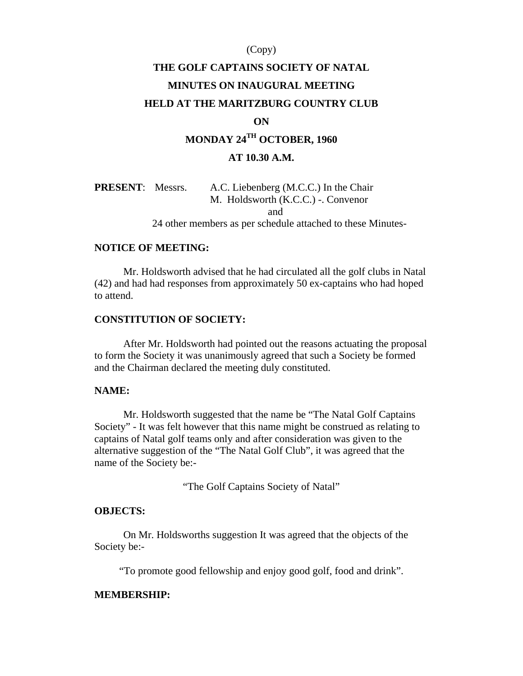### (Copy)

# **THE GOLF CAPTAINS SOCIETY OF NATAL MINUTES ON INAUGURAL MEETING HELD AT THE MARITZBURG COUNTRY CLUB**

### **ON**

# **MONDAY 24TH OCTOBER, 1960**

### **AT 10.30 A.M.**

| <b>PRESENT:</b> Messrs. |  | A.C. Liebenberg (M.C.C.) In the Chair<br>M. Holdsworth (K.C.C.) - Convenor |
|-------------------------|--|----------------------------------------------------------------------------|
|                         |  | and                                                                        |
|                         |  | 24 other members as per schedule attached to these Minutes-                |

#### **NOTICE OF MEETING:**

Mr. Holdsworth advised that he had circulated all the golf clubs in Natal (42) and had had responses from approximately 50 ex-captains who had hoped to attend.

### **CONSTITUTION OF SOCIETY:**

After Mr. Holdsworth had pointed out the reasons actuating the proposal to form the Society it was unanimously agreed that such a Society be formed and the Chairman declared the meeting duly constituted.

### **NAME:**

Mr. Holdsworth suggested that the name be "The Natal Golf Captains Society" - It was felt however that this name might be construed as relating to captains of Natal golf teams only and after consideration was given to the alternative suggestion of the "The Natal Golf Club", it was agreed that the name of the Society be:-

"The Golf Captains Society of Natal"

### **OBJECTS:**

On Mr. Holdsworths suggestion It was agreed that the objects of the Society be:-

"To promote good fellowship and enjoy good golf, food and drink".

#### **MEMBERSHIP:**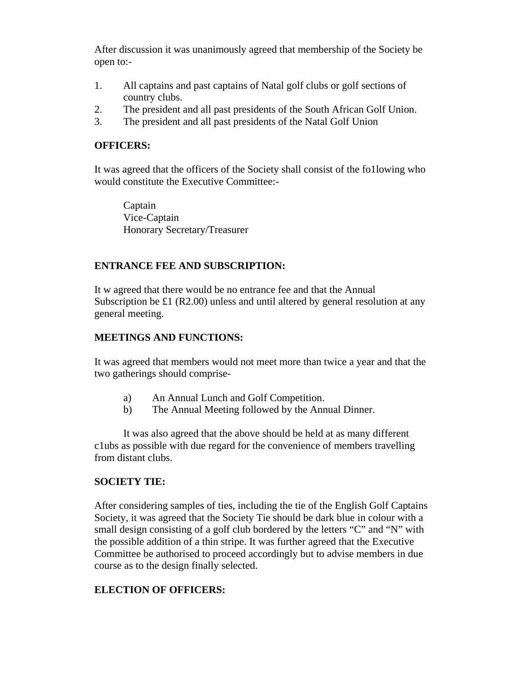After discussion it was unanimously agreed that membership of the Society be open to:-

- 1. All captains and past captains of Natal golf clubs or golf sections of country clubs.
- 2. The president and all past presidents of the South African Golf Union.
- 3. The president and all past presidents of the Natal Golf Union

# **OFFICERS:**

It was agreed that the officers of the Society shall consist of the fo1lowing who would constitute the Executive Committee:-

Captain Vice-Captain Honorary Secretary/Treasurer

# **ENTRANCE FEE AND SUBSCRIPTION:**

It w agreed that there would be no entrance fee and that the Annual Subscription be £1 (R2.00) unless and until altered by general resolution at any general meeting.

# **MEETINGS AND FUNCTIONS:**

It was agreed that members would not meet more than twice a year and that the two gatherings should comprise-

- a) An Annual Lunch and Golf Competition.
- b) The Annual Meeting followed by the Annual Dinner.

It was also agreed that the above should be held at as many different c1ubs as possible with due regard for the convenience of members travelling from distant clubs.

# **SOCIETY TIE:**

After considering samples of ties, including the tie of the English Golf Captains Society, it was agreed that the Society Tie should be dark blue in colour with a small design consisting of a golf club bordered by the letters "C" and "N" with the possible addition of a thin stripe. It was further agreed that the Executive Committee be authorised to proceed accordingly but to advise members in due course as to the design finally selected.

# **ELECTION OF OFFICERS:**